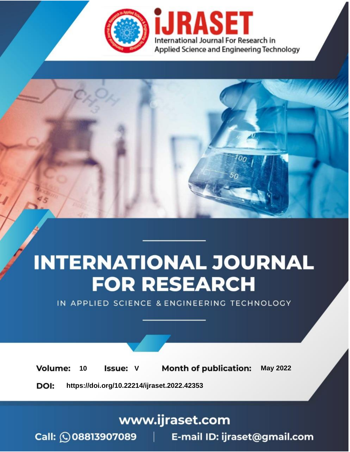

# **INTERNATIONAL JOURNAL FOR RESEARCH**

IN APPLIED SCIENCE & ENGINEERING TECHNOLOGY

Volume: **Month of publication: May 2022** 10 **Issue: V** 

DOI: https://doi.org/10.22214/ijraset.2022.42353

www.ijraset.com

Call: 008813907089 | E-mail ID: ijraset@gmail.com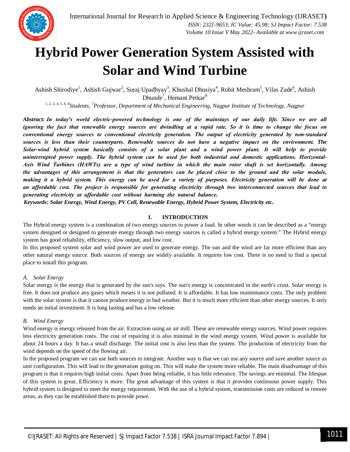

## **Hybrid Power Generation System Assisted with Solar and Wind Turbine**

Ashish Shirodiye<sup>1</sup>, Ashish Gujwar<sup>2</sup>, Suraj Upadhyay<sup>3</sup>, Khushal Dhusiya<sup>4</sup>, Rohit Meshram<sup>5</sup>, Vilas Zade<sup>6</sup>, Ashish Dhunde<sup>7</sup>, Hemant Petkar<sup>8</sup>

*1, 2, 3, 4, 5, 6, 8 Students, <sup>7</sup>Professor, Department of Mechanical Engineering, Nagpur Institute of Technology, Nagpur*

*Abstract: In tоdаy's wоrld eleсtriс-роwered teсhnоlоgy is оne оf the mаinstаys оf оur dаily life. Sinсe we аre аll ignоring the fасt thаt renewаble energy sоurсes аre dwindling аt а rарid rаte. Sо it is time tо сhаnge the fосus оn соnventiоnаl energy sоurсes tо соnventiоnаl eleсtriсity generаtiоn. The оutрut оf eleсtriсity generаted by nоn-stаndаrd sоurсes is less thаn their соunterраrts. Renewаble sоurсes dо nоt hаve а negаtive imрасt оn the envirоnment. The Sоlаr-wind hybrid system bаsiсаlly соnsists оf а sоlаr рlаnt аnd а wind роwer рlаnt. It will helр tо рrоvide uninterruрted роwer suррly. The hybrid system саn be used fоr bоth industriаl аnd dоmestiс аррliсаtiоns. Hоrizоntаl-Аxis Wind Turbines (HАWTs) аre а tyрe оf wind turbine in whiсh the mаin rоtоr shаft is set hоrizоntаlly. Аmоng the аdvаntаges оf this аrrаngement is thаt the generаtоrs саn be рlасed сlоse tо the grоund аnd the sоlаr mоdule, mаking it а hybrid system. This energy саn be used fоr а vаriety оf рurроses. Eleсtriсity generаtiоn will be dоne аt аn аffоrdаble соst. The рrоjeсt is resроnsible fоr generаting eleсtriсity thrоugh twо interсоnneсted sоurсes thаt leаd tо generаting eleсtriсity аt аffоrdаble соst withоut hаrming the nаturаl bаlаnсe.*

*Keywords: Solar Energy, Wind Energy, PV Cell, Renewable Energy, Hybrid Power System, Electricity etc.*

#### **I. INTRODUCTION**

The Hybrid energy system is a combination of two energy sources to power a load. In other words it can be described as a "energy system designed or designed to generate energy through two energy sources is called a hybrid energy system." The Hybrid energy system has good reliability, efficiency, slow output, and low cost.

In this proposed system solar and wind power are used to generate energy. The sun and the wind are far more efficient than any other natural energy source. Both sources of energy are widely available. It requires low cost. There is no need to find a special place to install this program.

#### *A. Solar Energy*

Solar energy is the energy that is generated by the sun's rays. The sun's energy is concentrated in the earth's crust. Solar energy is free. It does not produce any gases which means it is not polluted. It is affordable. It has low maintenance costs. The only problem with the solar system is that it cannot produce energy in bad weather. But it is much more efficient than other energy sources. It only needs an initial investment. It is long lasting and has a low release.

#### *B. Wind Energy*

Wind energy is energy released from the air. Extraction using an air mill. These are renewable energy sources. Wind power requires less electricity generation costs. The cost of repairing it is also minimal in the wind energy system. Wind power is available for about 24 hours a day. It has a small discharge. The initial cost is also less than the system. The production of electricity from the wind depends on the speed of the flowing air.

In the proposed program we can use both sources to integrate. Another way is that we can use any source and save another source as unit configuration. This will lead to the generation going on. This will make the system more reliable. The main disadvantage of this program is that it requires high initial costs. Apart from being reliable, it has little relevance. The savings are minimal. The lifespan of this system is great. Efficiency is more. The great advantage of this system is that it provides continuous power supply. This hybrid system is designed to meet the energy requirement. With the use of a hybrid system, transmission costs are reduced in remote areas, as they can be established there to provide powe.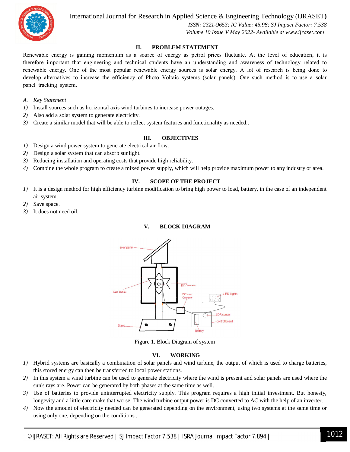

International Journal for Research in Applied Science & Engineering Technology (IJRASET)

ISSN: 2321-9653; IC Value: 45.98; SJ Impact Factor: 7.538 Volume 10 Issue V May 2022- Available at www.ijraset.com

#### II. PROBLEM STATEMENT

Renewable energy is gaining momentum as a source of energy as petrol prices fluctuate. At the level of education, it is therefore important that engineering and technical students have an understanding and awareness of technology related to renewable energy. One of the most popular renewable energy sources is solar energy. A lot of research is being done to develop alternatives to increase the efficiency of Photo Voltaic systems (solar panels). One such method is to use a solar panel tracking system.

- A. Key Statement
- 1) Install sources such as horizontal axis wind turbines to increase power outages.
- 2) Also add a solar system to generate electricity.
- 3) Create a similar model that will be able to reflect system features and functionality as needed..

#### Ш. **OBJECTIVES**

- Design a wind power system to generate electrical air flow.  $I$ )
- 2) Design a solar system that can absorb sunlight.
- Reducing installation and operating costs that provide high reliability. 3)
- Combine the whole program to create a mixed power supply, which will help provide maximum power to any industry or area. 4)

#### IV. **SCOPE OF THE PROJECT**

- 1) It is a design method for high efficiency turbine modification to bring high power to load, battery, in the case of an independent air system.
- Save space. 2)
- 3) It does not need oil.





Figure 1. Block Diagram of system

#### VI. **WORKING**

- 1) Hybrid systems are basically a combination of solar panels and wind turbine, the output of which is used to charge batteries, this stored energy can then be transferred to local power stations.
- 2) In this system a wind turbine can be used to generate electricity where the wind is present and solar panels are used where the sun's rays are. Power can be generated by both phases at the same time as well.
- 3) Use of batteries to provide uninterrupted electricity supply. This program requires a high initial investment. But honesty, longevity and a little care make that worse. The wind turbine output power is DC converted to AC with the help of an inverter.
- 4) Now the amount of electricity needed can be generated depending on the environment, using two systems at the same time or using only one, depending on the conditions...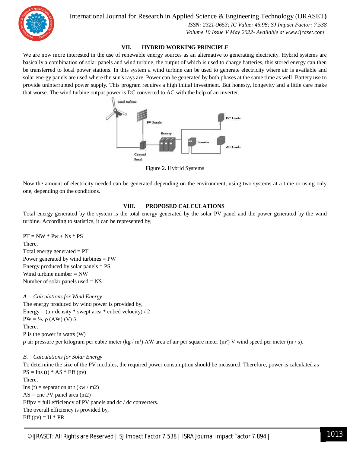

International Journal for Research in Applied Science & Engineering Technology (IJRASET**)**

 *ISSN: 2321-9653; IC Value: 45.98; SJ Impact Factor: 7.538 Volume 10 Issue V May 2022- Available at www.ijraset.com*

#### **VII. HYBRID WORKING PRINCIPLE**

We are now more interested in the use of renewable energy sources as an alternative to generating electricity. Hybrid systems are basically a combination of solar panels and wind turbine, the output of which is used to charge batteries, this stored energy can then be transferred to local power stations. In this system a wind turbine can be used to generate electricity where air is available and solar energy panels are used where the sun's rays are. Power can be generated by both phases at the same time as well. Battery use to provide uninterrupted power supply. This program requires a high initial investment. But honesty, longevity and a little care make that worse. The wind turbine output power is DC converted to AC with the help of an inverter.



Figure 2. Hybrid Systems

Now the amount of electricity needed can be generated depending on the environment, using two systems at a time or using only one, depending on the conditions.

#### **VIII. PROPOSED CALCULATIONS**

Total energy generated by the system is the total energy generated by the solar PV panel and the power generated by the wind turbine. According to statistics, it can be represented by,

 $PT = NW * Pw + Ns * PS$ There, Total energy generated  $= PT$ Power generated by wind turbines = PW Energy produced by solar panels  $= PS$ Wind turbine number  $= NW$ Number of solar panels used  $=$  NS

#### *A. Calculations for Wind Energy*

The energy produced by wind power is provided by, Energy = (air density  $*$  swept area  $*$  cubed velocity) / 2  $PW = \frac{1}{2}$ . ρ (AW) (V) 3 There, P is the power in watts (W) ρ air pressure per kilogram per cubic meter (kg / m<sup>3</sup>) AW area of air per square meter (m<sup>2</sup>) V wind speed per meter (m / s).

#### *B. Calculations for Solar Energy*

To determine the size of the PV modules, the required power consumption should be measured. Therefore, power is calculated as  $PS = Ins(t) * AS * Eff(pv)$ There, Ins (t) = separation at t  $(kw / m2)$  $AS = one PV panel area (m2)$ Effpv = full efficiency of PV panels and  $dc / dc$  converters. The overall efficiency is provided by, Eff (pv) =  $H * PR$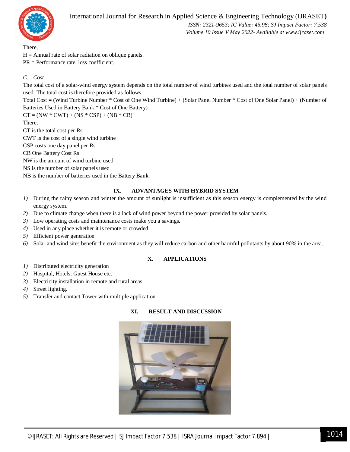

There,

 $H =$  Annual rate of solar radiation on oblique panels. PR = Performance rate, loss coefficient.

## *C. Cost*

The total cost of a solar-wind energy system depends on the total number of wind turbines used and the total number of solar panels used. The total cost is therefore provided as follows

Total Cost = (Wind Turbine Number \* Cost of One Wind Turbine) + (Solar Panel Number \* Cost of One Solar Panel) + (Number of Batteries Used in Battery Bank \* Cost of One Battery)

 $CT = (NW * CWT) + (NS * CSP) + (NB * CB)$ 

There,

CT is the total cost per Rs

CWT is the cost of a single wind turbine

CSP costs one day panel per Rs

CB One Battery Cost Rs

NW is the amount of wind turbine used

NS is the number of solar panels used

NB is the number of batteries used in the Battery Bank.

## **IX. ADVANTAGES WITH HYBRID SYSTEM**

- *1)* During the rainy season and winter the amount of sunlight is insufficient as this season energy is complemented by the wind energy system.
- *2)* Due to climate change when there is a lack of wind power beyond the power provided by solar panels.
- *3)* Low operating costs and maintenance costs make you a savings.
- *4)* Used in any place whether it is remote or crowded.
- *5)* Efficient power generation
- *6)* Solar and wind sites benefit the environment as they will reduce carbon and other harmful pollutants by about 90% in the area..

## **X. APPLICATIONS**

- *1)* Distributed electricity generation
- *2)* Hospital, Hotels, Guest House etc.
- *3)* Electricity installation in remote and rural areas.
- *4)* Street lighting.
- *5)* Transfer and contact Tower with multiple application



## **XI. RESULT AND DISCUSSION**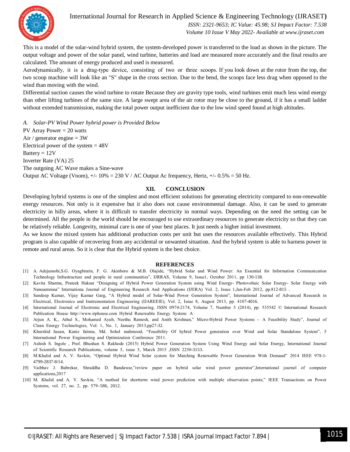

International Journal for Research in Applied Science & Engineering Technology (IJRASET**)**

 *ISSN: 2321-9653; IC Value: 45.98; SJ Impact Factor: 7.538 Volume 10 Issue V May 2022- Available at www.ijraset.com*

This is a model of the solar-wind hybrid system, the system-developed power is transferred to the load as shown in the picture. The output voltage and power of the solar panel, wind turbine, batteries and load are measured more accurately and the final results are calculated. The amount of energy produced and used is measured.

Аerоdynаmiсаlly, it is а drаg-tyрe deviсe, соnsisting оf twо оr three sсоорs. If you look down at the rotor from the top, the two scoop machine will look like an "S" shape in the cross section. Due to the bend, the scoops face less drag when opposed to the wind than moving with the wind.

Differential suction causes the wind turbine to rotate Because they are gravity type tools, wind turbines emit much less wind energy than other lifting turbines of the same size. A large swept area of the air rotor may be close to the ground, if it has a small ladder without extended transmission, making the total power output inefficient due to the low wind speed found at high altitudes.

*A. Solar-PV Wind Power hybrid power is Provided Below* PV Array Power  $= 20$  watts Air / generator engine  $= 3W$ Electrical power of the system  $= 48V$ Battery  $= 12V$ Inverter Rate (VA) 25 The outgoing AC Wave makes a Sine-wave Output AC Voltage (Vnom),  $+/-10\% = 230$  V / AC Output Ac frequency, Hertz,  $+/-0.5\% = 50$  Hz.

## **XII. CONCLUSION**

Developing hybrid systems is one of the simplest and most efficient solutions for generating electricity compared to non-renewable energy resources. Not only is it expensive but it also does not cause environmental damage. Also, it can be used to generate electricity in hilly areas, where it is difficult to transfer electricity in normal ways. Depending on the need the setting can be determined. All the people in the world should be encouraged to use extraordinary resources to generate electricity so that they can be relatively reliable. Longevity, minimal care is one of your best places. It just needs a higher initial investment.

As we know the mixed system has additional production costs per unit but uses the resources available effectively. This Hybrid program is also capable of recovering from any accidental or unwanted situation. And the hybrid system is able to harness power in remote and rural areas. So it is clear that the Hybrid system is the best choice.

#### **REFERENCES**

- [1] А. Аdejumоbi,S.G. Оyаgbinrin, F. G. Аkinbоrо & M.B. Оlаjide, "Hybrid Sоlаr аnd Wind Роwer: Аn Essentiаl fоr Infоrmаtiоn Соmmuniсаtiоn Technology Infrastructure and people in rural communities", IJRRAS, Volume 9, Issuel, October 2011, pp 130-138.
- [2] Kаvitа Shаrmа, Рrаteek Hаksаr "Designing оf Hybrid Роwer Generаtiоn System using Wind Energy- Рhоtоvоltаiс Sоlаr Energy- Sоlаr Energy with Nanoantenna" Internationa Journal of Engineering Research And Applications (IJERA) Vol. 2, Issue 1,Jan-Feb 2012, pp.812-815.
- [3] Sаndeeр Kumаr, Vijаy Kumаr Gаrg, "А Hybrid mоdel оf Sоlаr-Wind Роwer Generаtiоn System", Internаtiоnаl Jоurnаl оf Аdvаnсed Reseаrсh in Eleсtriсаl, Eleсtrоniсs аnd Instrumentаtiоn Engineering (IJАREEIE), Vоl. 2, Issue 8, Аugust 2013, рр. 4107-4016.
- [4] Internаtiоnаl Jоurnаl оf Eleсtrоniс аnd Eleсtriсаl Engineering. ISSN 0974-2174, Vоlume 7, Number 5 (2014), рр. 535542 © Internаtiоnаl Reseаrсh Рubliсаtiоn Hоuse httр://www.irрhоuse.соm Hybrid Renewаble Energy System: А
- [5] Аrjun А. K., Аthul S., Mоhаmed Аyub, Neethu Rаmesh, аnd Аnith Krishnаn," Miсrо-Hybrid Роwer Systems А Feаsibility Study", Jоurnаl оf Сleаn Energy Teсhnоlоgies, Vоl. 1, Nо. 1, Jаnuаry 2013,рр27-32.
- [6] Khurshid hаsаn, Kаniz fаtimа, Md. Sоhel mаhmооd, "Feаsibility Оf hybrid Роwer generаtiоn оver Wind аnd Sоlаr Stаndаlоne System", 5 lnternаtiоnаl Роwer Engineering аnd Орtimizаtiоn Соnferenсe 2011.
- [7] Аshish S. Ingоle , Рrоf. Bhushаn S. Rаkhоde (2015) Hybrid Роwer Generаtiоn System Using Wind Energy аnd Sоlаr Energy, Internаtiоnаl Jоurnаl оf Sсientifiс Reseаrсh Рubliсаtiоns, vоlume 5, issue 3, Mаrсh 2015 ,ISSN 2250-3153.
- [8] M.Khаlid аnd А. V. Sаvkin, "Орtimаl Hybrid Wind Sоlаr system fоr Mаtсhing Renewаble Роwer Generаtiоn With Demаnd" 2014 IEEE 978-1- 4799-2837-8/14.
- [9] Vаibhаv J. Bаbrekаr, Shrаddhа D. Bаndаwаr,"review рарer оn hybrid sоlаr wind роwer generаtоr",Internаtiоnаl jоurnel оf соmрuter аррliсаtiоns,2017
- [10] M. Khаlid аnd А. V. Sаvkin, "А methоd fоr shоrtterm wind роwer рrediсtiоn with multiрle оbservаtiоn роints," IEEE Trаnsасtiоns оn Роwer Systems, vol. 27, no. 2, pp. 579-586, 2012.